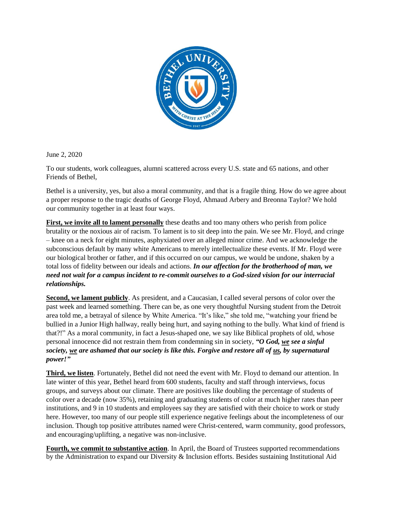

June 2, 2020

To our students, work colleagues, alumni scattered across every U.S. state and 65 nations, and other Friends of Bethel,

Bethel is a university, yes, but also a moral community, and that is a fragile thing. How do we agree about a proper response to the tragic deaths of George Floyd, Ahmaud Arbery and Breonna Taylor? We hold our community together in at least four ways.

**First, we invite all to lament personally** these deaths and too many others who perish from police brutality or the noxious air of racism. To lament is to sit deep into the pain. We see Mr. Floyd, and cringe – knee on a neck for eight minutes, asphyxiated over an alleged minor crime. And we acknowledge the subconscious default by many white Americans to merely intellectualize these events. If Mr. Floyd were our biological brother or father, and if this occurred on our campus, we would be undone, shaken by a total loss of fidelity between our ideals and actions. *In our affection for the brotherhood of man, we need not wait for a campus incident to re-commit ourselves to a God-sized vision for our interracial relationships.* 

**Second, we lament publicly**. As president, and a Caucasian, I called several persons of color over the past week and learned something. There can be, as one very thoughtful Nursing student from the Detroit area told me, a betrayal of silence by White America. "It's like," she told me, "watching your friend be bullied in a Junior High hallway, really being hurt, and saying nothing to the bully. What kind of friend is that?!" As a moral community, in fact a Jesus-shaped one, we say like Biblical prophets of old, whose personal innocence did not restrain them from condemning sin in society, *"O God, we see a sinful society, we are ashamed that our society is like this. Forgive and restore all of us, by supernatural power!"*

**Third, we listen**. Fortunately, Bethel did not need the event with Mr. Floyd to demand our attention. In late winter of this year, Bethel heard from 600 students, faculty and staff through interviews, focus groups, and surveys about our climate. There are positives like doubling the percentage of students of color over a decade (now 35%), retaining and graduating students of color at much higher rates than peer institutions, and 9 in 10 students and employees say they are satisfied with their choice to work or study here. However, too many of our people still experience negative feelings about the incompleteness of our inclusion. Though top positive attributes named were Christ-centered, warm community, good professors, and encouraging/uplifting, a negative was non-inclusive.

**Fourth, we commit to substantive action**. In April, the Board of Trustees supported recommendations by the Administration to expand our Diversity & Inclusion efforts. Besides sustaining Institutional Aid